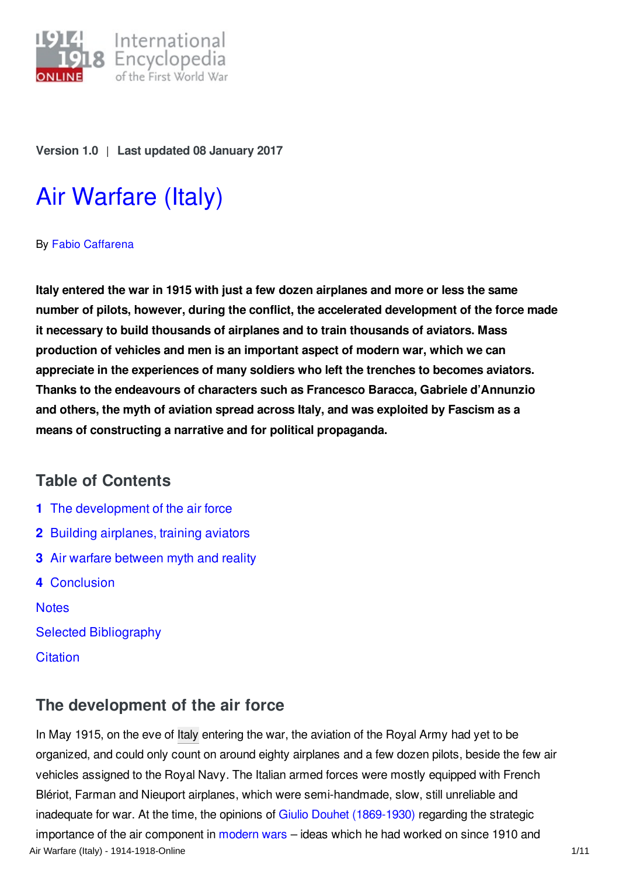

**Version 1.0** | **Last updated 08 January 2017**

# Air [Warfare](http://encyclopedia.1914-1918-online.net/article/air_warfare_italy) (Italy)

#### By Fabio [Caffarena](http://encyclopedia.1914-1918-online.net/contributors/Fabio_Caffarena)

**Italy entered the war in 1915 with just a few dozen airplanes and more or less the same number of pilots, however, during the conflict, the accelerated development of the force made it necessary to build thousands of airplanes and to train thousands of aviators. Mass production of vehicles and men is an important aspect of modern war, which we can appreciate in the experiences of many soldiers who left the trenches to becomes aviators. Thanks to the endeavours of characters such as Francesco Baracca, Gabriele d'Annunzio and others, the myth of aviation spread across Italy, and was exploited by Fascism as a means of constructing a narrative and for political propaganda.**

## **Table of Contents**

- **1** The [development](#page-0-0) of the air force
- **2** Building [airplanes,](#page-3-0) training aviators
- **3** Air warfare [between](#page-5-0) myth and reality
- **4** [Conclusion](#page-7-0)

**[Notes](#page-8-0)** 

- Selected [Bibliography](#page-9-0)
- **[Citation](#page-10-0)**

# <span id="page-0-0"></span>**The development of the air force**

In May 1915, on the eve of [Italy](/article/italy) entering the war, the aviation of the Royal Army had yet to be organized, and could only count on around eighty airplanes and a few dozen pilots, beside the few air vehicles assigned to the Royal Navy. The Italian armed forces were mostly equipped with French Blériot, Farman and Nieuport airplanes, which were semi-handmade, slow, still unreliable and inadequate for war. At the time, the opinions of Giulio Douhet [\(1869-1930\)](/index/names/119322048) regarding the strategic importance of the air component in [modern](/article/on_the_road_to_modern_war) wars – ideas which he had worked on since 1910 and Air Warfare (Italy) - 1914-1918-Online 1/11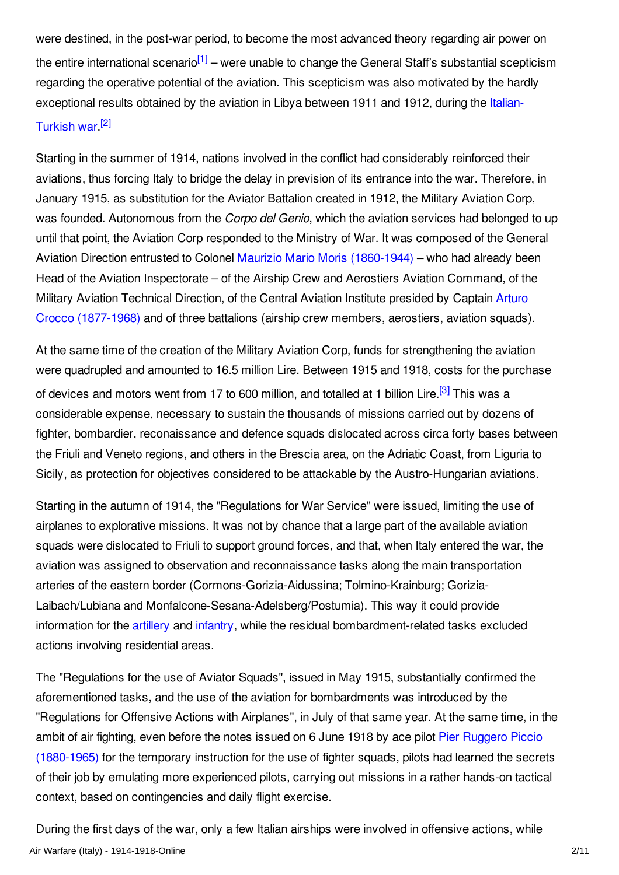<span id="page-1-0"></span>were destined, in the post-war period, to become the most advanced theory regarding air power on the entire international scenario<sup>[\[1\]](#page-8-1)</sup> – were unable to change the General Staff's substantial scepticism regarding the operative potential of the aviation. This scepticism was also motivated by the hardly [exceptional](/article/italo-turkish_war_1911-1912) results obtained by the aviation in Libya between 1911 and 1912, during the Italian-

## <span id="page-1-1"></span>Turkish war.<sup>[\[2\]](#page-8-2)</sup>

Starting in the summer of 1914, nations involved in the conflict had considerably reinforced their aviations, thus forcing Italy to bridge the delay in prevision of its entrance into the war. Therefore, in January 1915, as substitution for the Aviator Battalion created in 1912, the Military Aviation Corp, was founded. Autonomous from the *Corpo del Genio*, which the aviation services had belonged to up until that point, the Aviation Corp responded to the Ministry of War. It was composed of the General Aviation Direction entrusted to Colonel Maurizio Mario Moris [\(1860-1944\)](/index/names/1057887099) – who had already been Head of the Aviation Inspectorate – of the Airship Crew and Aerostiers Aviation Command, of the Military Aviation Technical Direction, of the Central Aviation Institute presided by Captain Arturo Crocco [\(1877-1968\)](/index/names/119372983) and of three battalions (airship crew members, aerostiers, aviation squads).

<span id="page-1-2"></span>At the same time of the creation of the Military Aviation Corp, funds for strengthening the aviation were quadrupled and amounted to 16.5 million Lire. Between 1915 and 1918, costs for the purchase of devices and motors went from 17 to 600 million, and totalled at 1 billion Lire.<sup>[\[3\]](#page-8-3)</sup> This was a considerable expense, necessary to sustain the thousands of missions carried out by dozens of fighter, bombardier, reconaissance and defence squads dislocated across circa forty bases between the Friuli and Veneto regions, and others in the Brescia area, on the Adriatic Coast, from Liguria to Sicily, as protection for objectives considered to be attackable by the Austro-Hungarian aviations.

Starting in the autumn of 1914, the "Regulations for War Service" were issued, limiting the use of airplanes to explorative missions. It was not by chance that a large part of the available aviation squads were dislocated to Friuli to support ground forces, and that, when Italy entered the war, the aviation was assigned to observation and reconnaissance tasks along the main transportation arteries of the eastern border (Cormons-Gorizia-Aidussina; Tolmino-Krainburg; Gorizia-Laibach/Lubiana and Monfalcone-Sesana-Adelsberg/Postumia). This way it could provide information for the [artillery](/article/artillery) and [infantry](/article/infantry), while the residual bombardment-related tasks excluded actions involving residential areas.

The "Regulations for the use of Aviator Squads", issued in May 1915, substantially confirmed the aforementioned tasks, and the use of the aviation for bombardments was introduced by the "Regulations for Offensive Actions with Airplanes", in July of that same year. At the same time, in the ambit of air fighting, even before the notes issued on 6 June 1918 by ace pilot Pier Ruggero Piccio [\(1880-1965\)](/index/names/1057887285) for the temporary instruction for the use of fighter squads, pilots had learned the secrets of their job by emulating more experienced pilots, carrying out missions in a rather hands-on tactical context, based on contingencies and daily flight exercise.

During the first days of the war, only a few Italian airships were involved in offensive actions, while Air Warfare (Italy) - 1914-1918-Online 2/11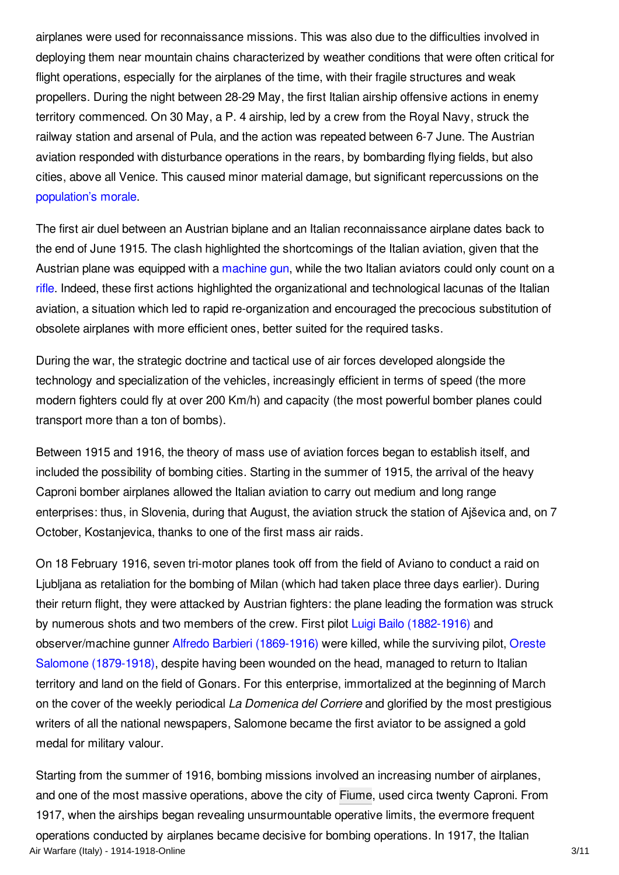airplanes were used for reconnaissance missions. This was also due to the difficulties involved in deploying them near mountain chains characterized by weather conditions that were often critical for flight operations, especially for the airplanes of the time, with their fragile structures and weak propellers. During the night between 28-29 May, the first Italian airship offensive actions in enemy territory commenced. On 30 May, a P. 4 airship, led by a crew from the Royal Navy, struck the railway station and arsenal of Pula, and the action was repeated between 6-7 June. The Austrian aviation responded with disturbance operations in the rears, by bombarding flying fields, but also cities, above all Venice. This caused minor material damage, but significant repercussions on the [population's](/article/civilian_morale) morale.

The first air duel between an Austrian biplane and an Italian reconnaissance airplane dates back to the end of June 1915. The clash highlighted the shortcomings of the Italian aviation, given that the Austrian plane was equipped with a [machine](/article/machine_gun) gun, while the two Italian aviators could only count on a [rifle](/article/rifles). Indeed, these first actions highlighted the organizational and technological lacunas of the Italian aviation, a situation which led to rapid re-organization and encouraged the precocious substitution of obsolete airplanes with more efficient ones, better suited for the required tasks.

During the war, the strategic doctrine and tactical use of air forces developed alongside the technology and specialization of the vehicles, increasingly efficient in terms of speed (the more modern fighters could fly at over 200 Km/h) and capacity (the most powerful bomber planes could transport more than a ton of bombs).

Between 1915 and 1916, the theory of mass use of aviation forces began to establish itself, and included the possibility of bombing cities. Starting in the summer of 1915, the arrival of the heavy Caproni bomber airplanes allowed the Italian aviation to carry out medium and long range enterprises: thus, in Slovenia, during that August, the aviation struck the station of Ajševica and, on 7 October, Kostanjevica, thanks to one of the first mass air raids.

On 18 February 1916, seven tri-motor planes took off from the field of Aviano to conduct a raid on Ljubljana as retaliation for the bombing of Milan (which had taken place three days earlier). During their return flight, they were attacked by Austrian fighters: the plane leading the formation was struck by numerous shots and two members of the crew. First pilot Luigi Bailo [\(1882-1916\)](/index/names/1057887412) and [observer/machine](/index/names/105788765X) gunner Alfredo Barbieri [\(1869-1916\)](/index/names/1057887528) were killed, while the surviving pilot, Oreste Salomone (1879-1918), despite having been wounded on the head, managed to return to Italian territory and land on the field of Gonars. For this enterprise, immortalized at the beginning of March on the cover of the weekly periodical *La Domenica del Corriere* and glorified by the most prestigious writers of all the national newspapers, Salomone became the first aviator to be assigned a gold medal for military valour.

Starting from the summer of 1916, bombing missions involved an increasing number of airplanes, and one of the most massive operations, above the city of [Fiume](/article/fiume), used circa twenty Caproni. From 1917, when the airships began revealing unsurmountable operative limits, the evermore frequent operations conducted by airplanes became decisive for bombing operations. In 1917, the Italian Air Warfare (Italy) - 1914-1918-Online 3/11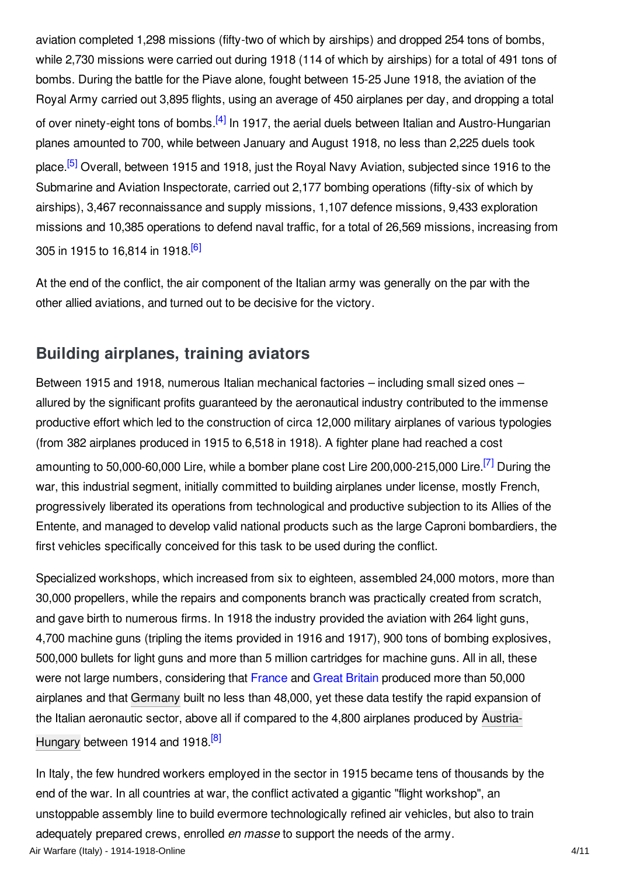<span id="page-3-1"></span>aviation completed 1,298 missions (fifty-two of which by airships) and dropped 254 tons of bombs, while 2,730 missions were carried out during 1918 (114 of which by airships) for a total of 491 tons of bombs. During the battle for the Piave alone, fought between 15-25 June 1918, the aviation of the Royal Army carried out 3,895 flights, using an average of 450 airplanes per day, and dropping a total of over ninety-eight tons of bombs.<sup>[\[4\]](#page-8-4)</sup> In 1917, the aerial duels between Italian and Austro-Hungarian planes amounted to 700, while between January and August 1918, no less than 2,225 duels took place.<sup>[\[5\]](#page-8-5)</sup> Overall, between 1915 and 1918, just the Royal Navy Aviation, subjected since 1916 to the Submarine and Aviation Inspectorate, carried out 2,177 bombing operations (fifty-six of which by airships), 3,467 reconnaissance and supply missions, 1,107 defence missions, 9,433 exploration missions and 10,385 operations to defend naval traffic, for a total of 26,569 missions, increasing from 305 in 1915 to 16,814 in 1918.<sup>[\[6\]](#page-8-6)</sup>

<span id="page-3-3"></span><span id="page-3-2"></span>At the end of the conflict, the air component of the Italian army was generally on the par with the other allied aviations, and turned out to be decisive for the victory.

## <span id="page-3-0"></span>**Building airplanes, training aviators**

<span id="page-3-4"></span>Between 1915 and 1918, numerous Italian mechanical factories – including small sized ones – allured by the significant profits guaranteed by the aeronautical industry contributed to the immense productive effort which led to the construction of circa 12,000 military airplanes of various typologies (from 382 airplanes produced in 1915 to 6,518 in 1918). A fighter plane had reached a cost amounting to 50,000-60,000 Lire, while a bomber plane cost Lire 200,000-215,000 Lire.<sup>[\[7\]](#page-8-7)</sup> During the war, this industrial segment, initially committed to building airplanes under license, mostly French, progressively liberated its operations from technological and productive subjection to its Allies of the Entente, and managed to develop valid national products such as the large Caproni bombardiers, the first vehicles specifically conceived for this task to be used during the conflict.

Specialized workshops, which increased from six to eighteen, assembled 24,000 motors, more than 30,000 propellers, while the repairs and components branch was practically created from scratch, and gave birth to numerous firms. In 1918 the industry provided the aviation with 264 light guns, 4,700 machine guns (tripling the items provided in 1916 and 1917), 900 tons of bombing explosives, 500,000 bullets for light guns and more than 5 million cartridges for machine guns. All in all, these were not large numbers, considering that [France](/article/france) and Great [Britain](/article/great_britain) produced more than 50,000 airplanes and that [Germany](/article/germany) built no less than 48,000, yet these data testify the rapid expansion of the Italian [aeronautic](/article/austria-hungary) sector, above all if compared to the 4,800 airplanes produced by Austria-Hungary between 1914 and 1918.<sup>[\[8\]](#page-8-8)</sup>

<span id="page-3-5"></span>In Italy, the few hundred workers employed in the sector in 1915 became tens of thousands by the end of the war. In all countries at war, the conflict activated a gigantic "flight workshop", an unstoppable assembly line to build evermore technologically refined air vehicles, but also to train adequately prepared crews, enrolled *en masse* to support the needs of the army. Air Warfare (Italy) - 1914-1918-Online 4/11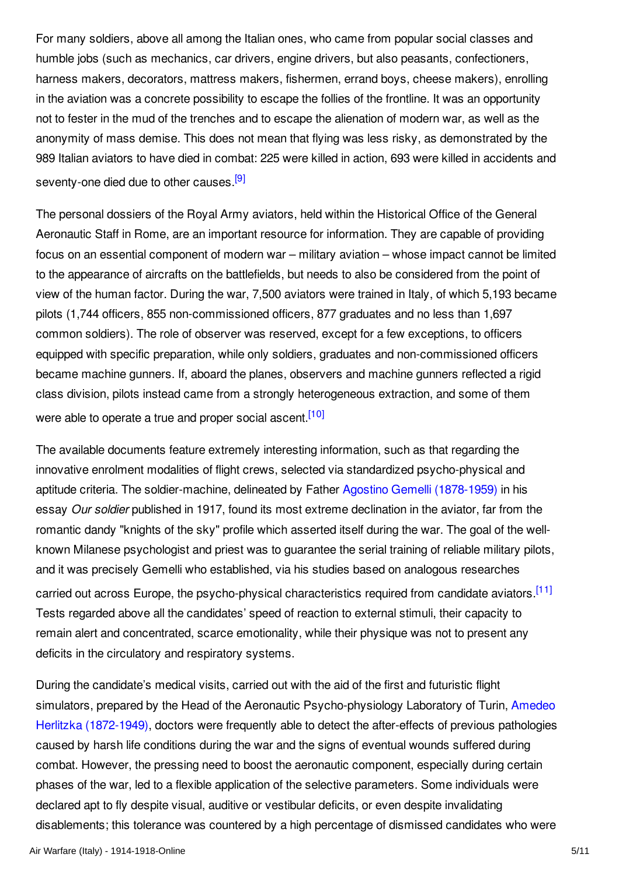For many soldiers, above all among the Italian ones, who came from popular social classes and humble jobs (such as mechanics, car drivers, engine drivers, but also peasants, confectioners, harness makers, decorators, mattress makers, fishermen, errand boys, cheese makers), enrolling in the aviation was a concrete possibility to escape the follies of the frontline. It was an opportunity not to fester in the mud of the trenches and to escape the alienation of modern war, as well as the anonymity of mass demise. This does not mean that flying was less risky, as demonstrated by the 989 Italian aviators to have died in combat: 225 were killed in action, 693 were killed in accidents and seventy-one died due to other causes.<sup>[\[9\]](#page-8-9)</sup>

<span id="page-4-0"></span>The personal dossiers of the Royal Army aviators, held within the Historical Office of the General Aeronautic Staff in Rome, are an important resource for information. They are capable of providing focus on an essential component of modern war – military aviation – whose impact cannot be limited to the appearance of aircrafts on the battlefields, but needs to also be considered from the point of view of the human factor. During the war, 7,500 aviators were trained in Italy, of which 5,193 became pilots (1,744 officers, 855 non-commissioned officers, 877 graduates and no less than 1,697 common soldiers). The role of observer was reserved, except for a few exceptions, to officers equipped with specific preparation, while only soldiers, graduates and non-commissioned officers became machine gunners. If, aboard the planes, observers and machine gunners reflected a rigid class division, pilots instead came from a strongly heterogeneous extraction, and some of them were able to operate a true and proper social ascent.<sup>[\[10\]](#page-8-10)</sup>

<span id="page-4-1"></span>The available documents feature extremely interesting information, such as that regarding the innovative enrolment modalities of flight crews, selected via standardized psycho-physical and aptitude criteria. The soldier-machine, delineated by Father Agostino Gemelli [\(1878-1959\)](/index/names/11871676X) in his essay *Our soldier* published in 1917, found its most extreme declination in the aviator, far from the romantic dandy "knights of the sky" profile which asserted itself during the war. The goal of the wellknown Milanese psychologist and priest was to guarantee the serial training of reliable military pilots, and it was precisely Gemelli who established, via his studies based on analogous researches carried out across Europe, the psycho-physical characteristics required from candidate aviators.<sup>[\[11\]](#page-8-11)</sup> Tests regarded above all the candidates' speed of reaction to external stimuli, their capacity to remain alert and concentrated, scarce emotionality, while their physique was not to present any deficits in the circulatory and respiratory systems.

<span id="page-4-2"></span>During the candidate's medical visits, carried out with the aid of the first and futuristic flight simulators, prepared by the Head of the Aeronautic [Psycho-physiology](/index/names/105788832X) Laboratory of Turin, Amedeo Herlitzka (1872-1949), doctors were frequently able to detect the after-effects of previous pathologies caused by harsh life conditions during the war and the signs of eventual wounds suffered during combat. However, the pressing need to boost the aeronautic component, especially during certain phases of the war, led to a flexible application of the selective parameters. Some individuals were declared apt to fly despite visual, auditive or vestibular deficits, or even despite invalidating disablements; this tolerance was countered by a high percentage of dismissed candidates who were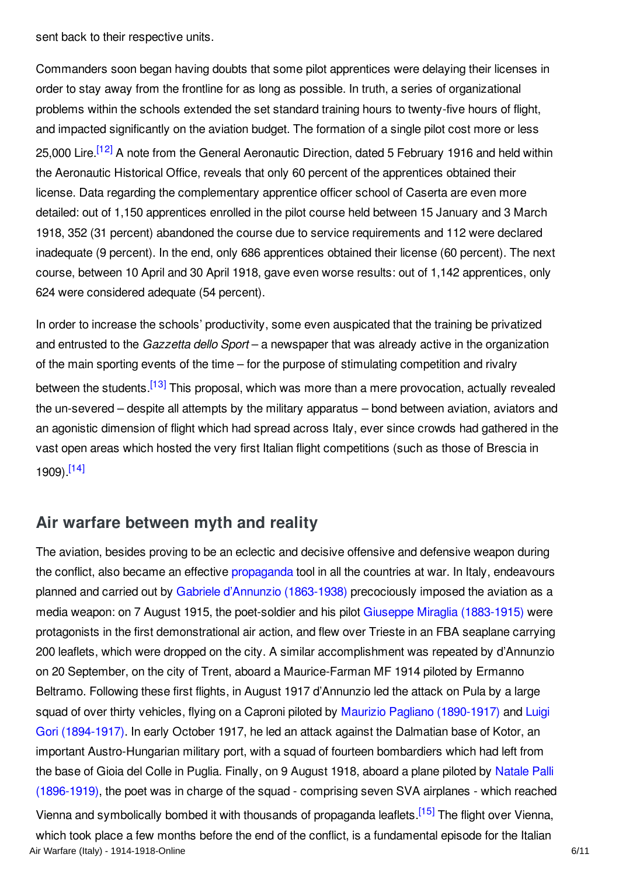sent back to their respective units.

<span id="page-5-1"></span>Commanders soon began having doubts that some pilot apprentices were delaying their licenses in order to stay away from the frontline for as long as possible. In truth, a series of organizational problems within the schools extended the set standard training hours to twenty-five hours of flight, and impacted significantly on the aviation budget. The formation of a single pilot cost more or less 25,000 Lire.<sup>[\[12\]](#page-9-1)</sup> A note from the General Aeronautic Direction, dated 5 February 1916 and held within the Aeronautic Historical Office, reveals that only 60 percent of the apprentices obtained their license. Data regarding the complementary apprentice officer school of Caserta are even more detailed: out of 1,150 apprentices enrolled in the pilot course held between 15 January and 3 March 1918, 352 (31 percent) abandoned the course due to service requirements and 112 were declared inadequate (9 percent). In the end, only 686 apprentices obtained their license (60 percent). The next course, between 10 April and 30 April 1918, gave even worse results: out of 1,142 apprentices, only 624 were considered adequate (54 percent).

<span id="page-5-2"></span>In order to increase the schools' productivity, some even auspicated that the training be privatized and entrusted to the *Gazzetta dello Sport* – a newspaper that was already active in the organization of the main sporting events of the time – for the purpose of stimulating competition and rivalry between the students.<sup>[\[13\]](#page-9-2)</sup> This proposal, which was more than a mere provocation, actually revealed the un-severed – despite all attempts by the military apparatus – bond between aviation, aviators and an agonistic dimension of flight which had spread across Italy, ever since crowds had gathered in the vast open areas which hosted the very first Italian flight competitions (such as those of Brescia in 1909). [\[14\]](#page-9-3)

# <span id="page-5-3"></span><span id="page-5-0"></span>**Air warfare between myth and reality**

The aviation, besides proving to be an eclectic and decisive offensive and defensive weapon during the conflict, also became an effective [propaganda](/article/propaganda_at_home_italy) tool in all the countries at war. In Italy, endeavours planned and carried out by Gabriele d'Annunzio [\(1863-1938\)](/index/names/118503243) precociously imposed the aviation as a media weapon: on 7 August 1915, the poet-soldier and his pilot Giuseppe Miraglia [\(1883-1915\)](/index/names/1057982180) were protagonists in the first demonstrational air action, and flew over Trieste in an FBA seaplane carrying 200 leaflets, which were dropped on the city. A similar accomplishment was repeated by d'Annunzio on 20 September, on the city of Trent, aboard a Maurice-Farman MF 1914 piloted by Ermanno Beltramo. Following these first flights, in August 1917 d'Annunzio led the attack on Pula by a large squad of over thirty vehicles, flying on a Caproni piloted by Maurizio Pagliano [\(1890-1917\)](/index/names/1057982393) and Luigi Gori [\(1894-1917\).](/index/names/105798261X) In early October 1917, he led an attack against the Dalmatian base of Kotor, an important Austro-Hungarian military port, with a squad of fourteen bombardiers which had left from the base of Gioia del Colle in Puglia. Finally, on 9 August 1918, aboard a plane piloted by Natale Palli [\(1896-1919\),](/index/names/1057982784) the poet was in charge of the squad - comprising seven SVA airplanes - which reached

<span id="page-5-4"></span>Vienna and symbolically bombed it with thousands of propaganda leaflets.<sup>[\[15\]](#page-9-4)</sup> The flight over Vienna, which took place a few months before the end of the conflict, is a fundamental episode for the Italian Air Warfare (Italy) - 1914-1918-Online 6/11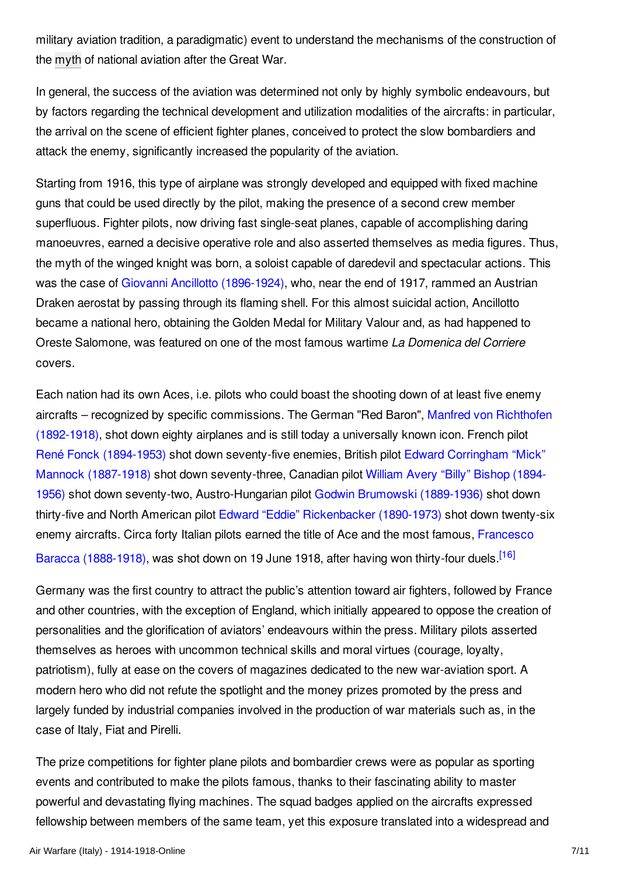military aviation tradition, a paradigmatic) event to understand the mechanisms of the construction of the [myth](/article/myths) of national aviation after the Great War.

In general, the success of the aviation was determined not only by highly symbolic endeavours, but by factors regarding the technical development and utilization modalities of the aircrafts: in particular, the arrival on the scene of efficient fighter planes, conceived to protect the slow bombardiers and attack the enemy, significantly increased the popularity of the aviation.

Starting from 1916, this type of airplane was strongly developed and equipped with fixed machine guns that could be used directly by the pilot, making the presence of a second crew member superfluous. Fighter pilots, now driving fast single-seat planes, capable of accomplishing daring manoeuvres, earned a decisive operative role and also asserted themselves as media figures. Thus, the myth of the winged knight was born, a soloist capable of daredevil and spectacular actions. This was the case of Giovanni Ancillotto [\(1896-1924\)](/index/names/1057982962), who, near the end of 1917, rammed an Austrian Draken aerostat by passing through its flaming shell. For this almost suicidal action, Ancillotto became a national hero, obtaining the Golden Medal for Military Valour and, as had happened to Oreste Salomone, was featured on one of the most famous wartime *La Domenica del Corriere* covers.

Each nation had its own Aces, i.e. pilots who could boast the shooting down of at least five enemy aircrafts – recognized by specific [commissions.](/index/names/118600575) The German "Red Baron", Manfred von Richthofen (1892-1918), shot down eighty airplanes and is still today a universally known icon. French pilot René Fonck [\(1894-1953\)](/index/names/124267572) shot down seventy-five enemies, British pilot Edward Corringham "Mick" Mannock (1887-1918) shot down [seventy-three,](/index/names/122935977) Canadian pilot William Avery "Billy" Bishop (1894- 1956) shot down seventy-two, [Austro-Hungarian](/index/names/118882813) pilot Godwin Brumowski [\(1889-1936\)](/index/names/1049612701) shot down thirty-five and North American pilot Edward "Eddie" [Rickenbacker](/index/names/121956180) (1890-1973) shot down twenty-six enemy aircrafts. Circa forty Italian pilots earned the title of Ace and the most famous, Francesco Baracca [\(1888-1918\),](/index/names/120558580) was shot down on 19 June 1918, after having won thirty-four duels.<sup>[\[16\]](#page-9-5)</sup>

<span id="page-6-0"></span>Germany was the first country to attract the public's attention toward air fighters, followed by France and other countries, with the exception of England, which initially appeared to oppose the creation of personalities and the glorification of aviators' endeavours within the press. Military pilots asserted themselves as heroes with uncommon technical skills and moral virtues (courage, loyalty, patriotism), fully at ease on the covers of magazines dedicated to the new war-aviation sport. A modern hero who did not refute the spotlight and the money prizes promoted by the press and largely funded by industrial companies involved in the production of war materials such as, in the case of Italy, Fiat and Pirelli.

The prize competitions for fighter plane pilots and bombardier crews were as popular as sporting events and contributed to make the pilots famous, thanks to their fascinating ability to master powerful and devastating flying machines. The squad badges applied on the aircrafts expressed fellowship between members of the same team, yet this exposure translated into a widespread and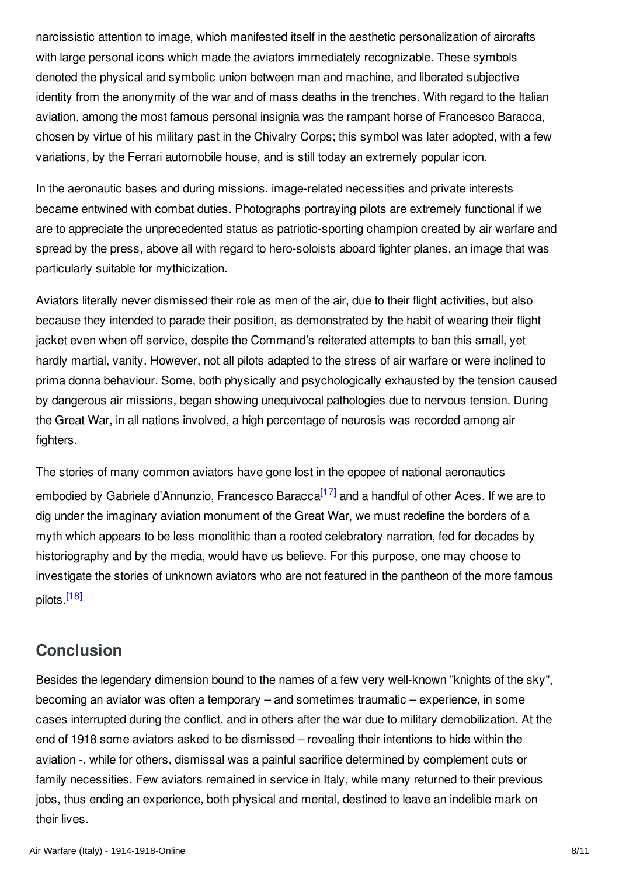narcissistic attention to image, which manifested itself in the aesthetic personalization of aircrafts with large personal icons which made the aviators immediately recognizable. These symbols denoted the physical and symbolic union between man and machine, and liberated subjective identity from the anonymity of the war and of mass deaths in the trenches. With regard to the Italian aviation, among the most famous personal insignia was the rampant horse of Francesco Baracca, chosen by virtue of his military past in the Chivalry Corps; this symbol was later adopted, with a few variations, by the Ferrari automobile house, and is still today an extremely popular icon.

In the aeronautic bases and during missions, image-related necessities and private interests became entwined with combat duties. Photographs portraying pilots are extremely functional if we are to appreciate the unprecedented status as patriotic-sporting champion created by air warfare and spread by the press, above all with regard to hero-soloists aboard fighter planes, an image that was particularly suitable for mythicization.

Aviators literally never dismissed their role as men of the air, due to their flight activities, but also because they intended to parade their position, as demonstrated by the habit of wearing their flight jacket even when off service, despite the Command's reiterated attempts to ban this small, yet hardly martial, vanity. However, not all pilots adapted to the stress of air warfare or were inclined to prima donna behaviour. Some, both physically and psychologically exhausted by the tension caused by dangerous air missions, began showing unequivocal pathologies due to nervous tension. During the Great War, in all nations involved, a high percentage of neurosis was recorded among air fighters.

<span id="page-7-1"></span>The stories of many common aviators have gone lost in the epopee of national aeronautics embodied by Gabriele d'Annunzio, Francesco Baracca<sup>[\[17\]](#page-9-6)</sup> and a handful of other Aces. If we are to dig under the imaginary aviation monument of the Great War, we must redefine the borders of a myth which appears to be less monolithic than a rooted celebratory narration, fed for decades by historiography and by the media, would have us believe. For this purpose, one may choose to investigate the stories of unknown aviators who are not featured in the pantheon of the more famous pilots.<sup>[\[18\]](#page-9-7)</sup>

# <span id="page-7-2"></span><span id="page-7-0"></span>**Conclusion**

Besides the legendary dimension bound to the names of a few very well-known "knights of the sky", becoming an aviator was often a temporary – and sometimes traumatic – experience, in some cases interrupted during the conflict, and in others after the war due to military demobilization. At the end of 1918 some aviators asked to be dismissed – revealing their intentions to hide within the aviation -, while for others, dismissal was a painful sacrifice determined by complement cuts or family necessities. Few aviators remained in service in Italy, while many returned to their previous jobs, thus ending an experience, both physical and mental, destined to leave an indelible mark on their lives.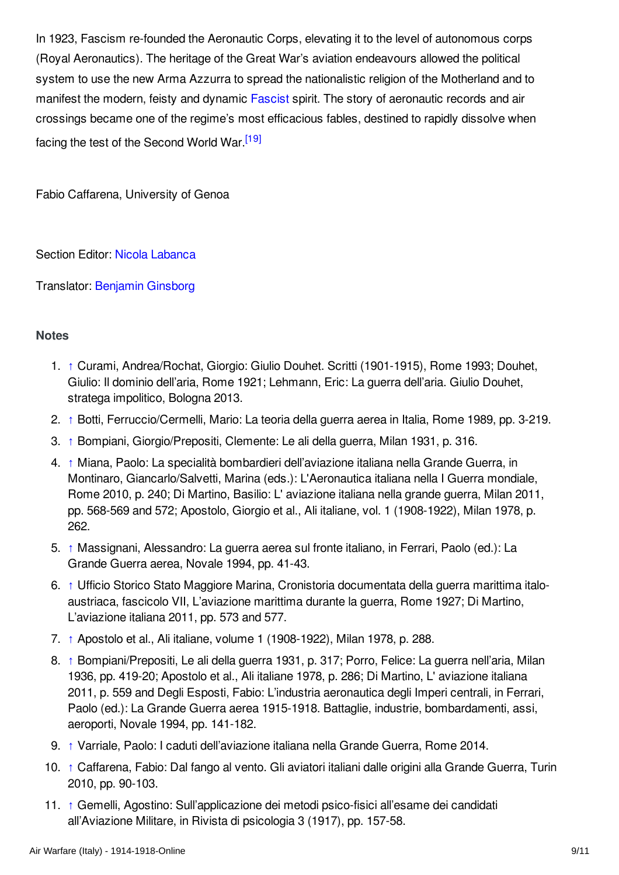In 1923, Fascism re-founded the Aeronautic Corps, elevating it to the level of autonomous corps (Royal Aeronautics). The heritage of the Great War's aviation endeavours allowed the political system to use the new Arma Azzurra to spread the nationalistic religion of the Motherland and to manifest the modern, feisty and dynamic [Fascist](/article/fascism_and_the_radical_right) spirit. The story of aeronautic records and air crossings became one of the regime's most efficacious fables, destined to rapidly dissolve when facing the test of the Second World War.<sup>[\[19\]](#page-9-8)</sup>

<span id="page-8-12"></span>Fabio Caffarena, University of Genoa

Section Editor: Nicola [Labanca](http://encyclopedia.1914-1918-online.net/contributors/Nicola_Labanca)

Translator: [Benjamin](http://encyclopedia.1914-1918-online.net/contributors/Benjamin_Ginsborg) Ginsborg

#### <span id="page-8-0"></span>**Notes**

- <span id="page-8-1"></span>1. [↑](#page-1-0) Curami, Andrea/Rochat, Giorgio: Giulio Douhet. Scritti (1901-1915), Rome 1993; Douhet, Giulio: Il dominio dell'aria, Rome 1921; Lehmann, Eric: La guerra dell'aria. Giulio Douhet, stratega impolitico, Bologna 2013.
- <span id="page-8-2"></span>2. [↑](#page-1-1) Botti, Ferruccio/Cermelli, Mario: La teoria della guerra aerea in Italia, Rome 1989, pp. 3-219.
- <span id="page-8-3"></span>3. [↑](#page-1-2) Bompiani, Giorgio/Prepositi, Clemente: Le ali della guerra, Milan 1931, p. 316.
- <span id="page-8-4"></span>4. [↑](#page-3-1) Miana, Paolo: La specialità bombardieri dell'aviazione italiana nella Grande Guerra, in Montinaro, Giancarlo/Salvetti, Marina (eds.): L'Aeronautica italiana nella I Guerra mondiale, Rome 2010, p. 240; Di Martino, Basilio: L' aviazione italiana nella grande guerra, Milan 2011, pp. 568-569 and 572; Apostolo, Giorgio et al., Ali italiane, vol. 1 (1908-1922), Milan 1978, p. 262.
- <span id="page-8-5"></span>5. [↑](#page-3-2) Massignani, Alessandro: La guerra aerea sul fronte italiano, in Ferrari, Paolo (ed.): La Grande Guerra aerea, Novale 1994, pp. 41-43.
- <span id="page-8-6"></span>6. [↑](#page-3-3) Ufficio Storico Stato Maggiore Marina, Cronistoria documentata della guerra marittima italoaustriaca, fascicolo VII, L'aviazione marittima durante la guerra, Rome 1927; Di Martino, L'aviazione italiana 2011, pp. 573 and 577.
- <span id="page-8-7"></span>7. [↑](#page-3-4) Apostolo et al., Ali italiane, volume 1 (1908-1922), Milan 1978, p. 288.
- <span id="page-8-8"></span>8. [↑](#page-3-5) Bompiani/Prepositi, Le ali della guerra 1931, p. 317; Porro, Felice: La guerra nell'aria, Milan 1936, pp. 419-20; Apostolo et al., Ali italiane 1978, p. 286; Di Martino, L' aviazione italiana 2011, p. 559 and Degli Esposti, Fabio: L'industria aeronautica degli Imperi centrali, in Ferrari, Paolo (ed.): La Grande Guerra aerea 1915-1918. Battaglie, industrie, bombardamenti, assi, aeroporti, Novale 1994, pp. 141-182.
- <span id="page-8-9"></span>9. [↑](#page-4-0) Varriale, Paolo: I caduti dell'aviazione italiana nella Grande Guerra, Rome 2014.
- <span id="page-8-10"></span>10. [↑](#page-4-1) Caffarena, Fabio: Dal fango al vento. Gli aviatori italiani dalle origini alla Grande Guerra, Turin 2010, pp. 90-103.
- <span id="page-8-11"></span>11. [↑](#page-4-2) Gemelli, Agostino: Sull'applicazione dei metodi psico-fisici all'esame dei candidati all'Aviazione Militare, in Rivista di psicologia 3 (1917), pp. 157-58.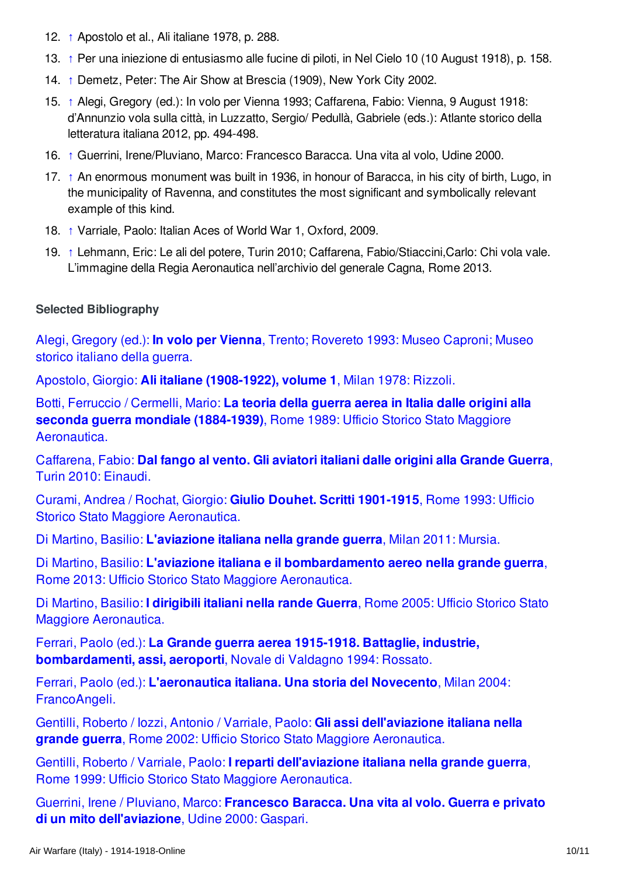- <span id="page-9-1"></span>12. [↑](#page-5-1) Apostolo et al., Ali italiane 1978, p. 288.
- <span id="page-9-2"></span>13. [↑](#page-5-2) Per una iniezione di entusiasmo alle fucine di piloti, in Nel Cielo 10 (10 August 1918), p. 158.
- <span id="page-9-3"></span>14. [↑](#page-5-3) Demetz, Peter: The Air Show at Brescia (1909), New York City 2002.
- <span id="page-9-4"></span>15. [↑](#page-5-4) Alegi, Gregory (ed.): In volo per Vienna 1993; Caffarena, Fabio: Vienna, 9 August 1918: d'Annunzio vola sulla città, in Luzzatto, Sergio/ Pedullà, Gabriele (eds.): Atlante storico della letteratura italiana 2012, pp. 494-498.
- <span id="page-9-5"></span>16. [↑](#page-6-0) Guerrini, Irene/Pluviano, Marco: Francesco Baracca. Una vita al volo, Udine 2000.
- <span id="page-9-6"></span>17. [↑](#page-7-1) An enormous monument was built in 1936, in honour of Baracca, in his city of birth, Lugo, in the municipality of Ravenna, and constitutes the most significant and symbolically relevant example of this kind.
- <span id="page-9-7"></span>18. [↑](#page-7-2) Varriale, Paolo: Italian Aces of World War 1, Oxford, 2009.
- <span id="page-9-8"></span>19. [↑](#page-8-12) Lehmann, Eric: Le ali del potere, Turin 2010; Caffarena, Fabio/Stiaccini,Carlo: Chi vola vale. L'immagine della Regia Aeronautica nell'archivio del generale Cagna, Rome 2013.

#### <span id="page-9-0"></span>**Selected Bibliography**

Alegi, Gregory (ed.): **In volo per Vienna**, Trento; [Rovereto](http://encyclopedia.1914-1918-online.net/bibliography/XXJ5E6AH) 1993: Museo Caproni; Museo storico italiano della guerra.

Apostolo, Giorgio: **Ali italiane [\(1908-1922\),](http://encyclopedia.1914-1918-online.net/bibliography/4K24VCBE) volume 1**, Milan 1978: Rizzoli.

Botti, Ferruccio / Cermelli, Mario: **La teoria della guerra aerea in Italia dalle origini alla seconda guerra mondiale (1884-1939)**, Rome 1989: Ufficio Storico Stato Maggiore [Aeronautica.](http://encyclopedia.1914-1918-online.net/bibliography/WERRI7EG)

[Caffarena,](http://encyclopedia.1914-1918-online.net/bibliography/ABS48JF4) Fabio: **Dal fango al vento. Gli aviatori italiani dalle origini alla Grande Guerra**, Turin 2010: Einaudi.

Curami, Andrea / Rochat, Giorgio: **Giulio Douhet. Scritti 1901-1915**, Rome 1993: Ufficio Storico Stato Maggiore [Aeronautica.](http://encyclopedia.1914-1918-online.net/bibliography/E27F5PNM)

Di Martino, Basilio: **[L'aviazione](http://encyclopedia.1914-1918-online.net/bibliography/7VMJ5PH7) italiana nella grande guerra**, Milan 2011: Mursia.

Di Martino, Basilio: **L'aviazione italiana e il [bombardamento](http://encyclopedia.1914-1918-online.net/bibliography/R93XC8R4) aereo nella grande guerra**, Rome 2013: Ufficio Storico Stato Maggiore Aeronautica.

Di Martino, Basilio: **I dirigibili italiani nella rande Guerra**, Rome 2005: Ufficio Storico Stato Maggiore [Aeronautica.](http://encyclopedia.1914-1918-online.net/bibliography/VM2QJ4F4)

Ferrari, Paolo (ed.): **La Grande guerra aerea 1915-1918. Battaglie, industrie, [bombardamenti,](http://encyclopedia.1914-1918-online.net/bibliography/FGJFE8IC) assi, aeroporti**, Novale di Valdagno 1994: Rossato.

Ferrari, Paolo (ed.): **[L'aeronautica](http://encyclopedia.1914-1918-online.net/bibliography/JW2W2CDN) italiana. Una storia del Novecento**, Milan 2004: FrancoAngeli.

Gentilli, Roberto / Iozzi, Antonio / Varriale, Paolo: **Gli assi [dell'aviazione](http://encyclopedia.1914-1918-online.net/bibliography/XQAHJZ9T) italiana nella grande guerra**, Rome 2002: Ufficio Storico Stato Maggiore Aeronautica.

Gentilli, Roberto / Varriale, Paolo: **I reparti [dell'aviazione](http://encyclopedia.1914-1918-online.net/bibliography/BKGRCFIH) italiana nella grande guerra**, Rome 1999: Ufficio Storico Stato Maggiore Aeronautica.

Guerrini, Irene / Pluviano, Marco: **Francesco Baracca. Una vita al volo. Guerra e privato di un mito [dell'aviazione](http://encyclopedia.1914-1918-online.net/bibliography/PASBKKWD)**, Udine 2000: Gaspari.